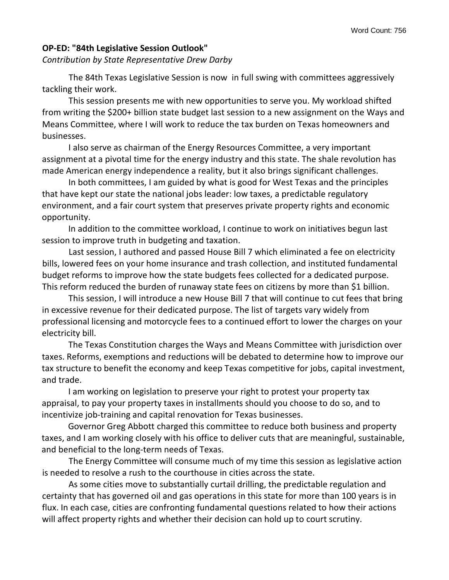## **OP-ED: "84th Legislative Session Outlook"**

*Contribution by State Representative Drew Darby*

The 84th Texas Legislative Session is now in full swing with committees aggressively tackling their work.

This session presents me with new opportunities to serve you. My workload shifted from writing the \$200+ billion state budget last session to a new assignment on the Ways and Means Committee, where I will work to reduce the tax burden on Texas homeowners and businesses.

I also serve as chairman of the Energy Resources Committee, a very important assignment at a pivotal time for the energy industry and this state. The shale revolution has made American energy independence a reality, but it also brings significant challenges.

In both committees, I am guided by what is good for West Texas and the principles that have kept our state the national jobs leader: low taxes, a predictable regulatory environment, and a fair court system that preserves private property rights and economic opportunity.

In addition to the committee workload, I continue to work on initiatives begun last session to improve truth in budgeting and taxation.

Last session, I authored and passed House Bill 7 which eliminated a fee on electricity bills, lowered fees on your home insurance and trash collection, and instituted fundamental budget reforms to improve how the state budgets fees collected for a dedicated purpose. This reform reduced the burden of runaway state fees on citizens by more than \$1 billion.

This session, I will introduce a new House Bill 7 that will continue to cut fees that bring in excessive revenue for their dedicated purpose. The list of targets vary widely from professional licensing and motorcycle fees to a continued effort to lower the charges on your electricity bill.

The Texas Constitution charges the Ways and Means Committee with jurisdiction over taxes. Reforms, exemptions and reductions will be debated to determine how to improve our tax structure to benefit the economy and keep Texas competitive for jobs, capital investment, and trade.

I am working on legislation to preserve your right to protest your property tax appraisal, to pay your property taxes in installments should you choose to do so, and to incentivize job-training and capital renovation for Texas businesses.

Governor Greg Abbott charged this committee to reduce both business and property taxes, and I am working closely with his office to deliver cuts that are meaningful, sustainable, and beneficial to the long-term needs of Texas.

The Energy Committee will consume much of my time this session as legislative action is needed to resolve a rush to the courthouse in cities across the state.

As some cities move to substantially curtail drilling, the predictable regulation and certainty that has governed oil and gas operations in this state for more than 100 years is in flux. In each case, cities are confronting fundamental questions related to how their actions will affect property rights and whether their decision can hold up to court scrutiny.